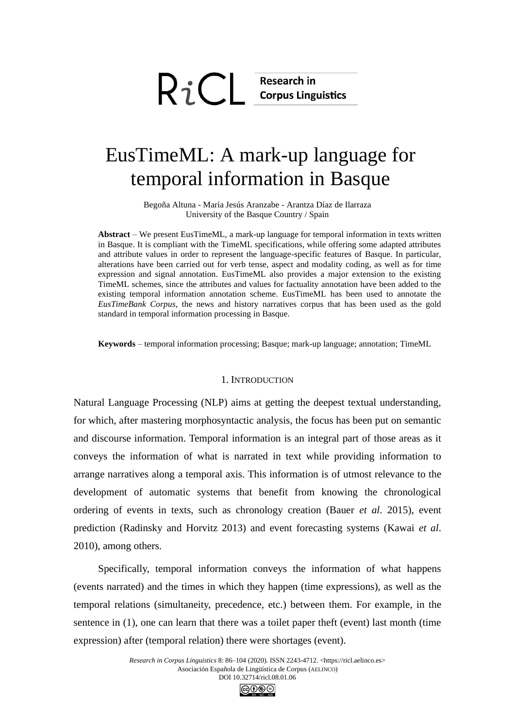# $RiC$  Research in

# EusTimeML: A mark-up language for temporal information in Basque

Begoña Altuna - María Jesús Aranzabe - Arantza Díaz de Ilarraza University of the Basque Country / Spain

**Abstract** – We present EusTimeML, a mark-up language for temporal information in texts written in Basque. It is compliant with the TimeML specifications, while offering some adapted attributes and attribute values in order to represent the language-specific features of Basque. In particular, alterations have been carried out for verb tense, aspect and modality coding, as well as for time expression and signal annotation. EusTimeML also provides a major extension to the existing TimeML schemes, since the attributes and values for factuality annotation have been added to the existing temporal information annotation scheme. EusTimeML has been used to annotate the *EusTimeBank Corpus*, the news and history narratives corpus that has been used as the gold standard in temporal information processing in Basque.

**Keywords** – temporal information processing; Basque; mark-up language; annotation; TimeML

#### 1. INTRODUCTION

Natural Language Processing (NLP) aims at getting the deepest textual understanding, for which, after mastering morphosyntactic analysis, the focus has been put on semantic and discourse information. Temporal information is an integral part of those areas as it conveys the information of what is narrated in text while providing information to arrange narratives along a temporal axis. This information is of utmost relevance to the development of automatic systems that benefit from knowing the chronological ordering of events in texts, such as chronology creation (Bauer *et al*. 2015), event prediction (Radinsky and Horvitz 2013) and event forecasting systems (Kawai *et al*. 2010), among others.

Specifically, temporal information conveys the information of what happens (events narrated) and the times in which they happen (time expressions), as well as the temporal relations (simultaneity, precedence, etc.) between them. For example, in the sentence in (1), one can learn that there was a toilet paper theft (event) last month (time expression) after (temporal relation) there were shortages (event).

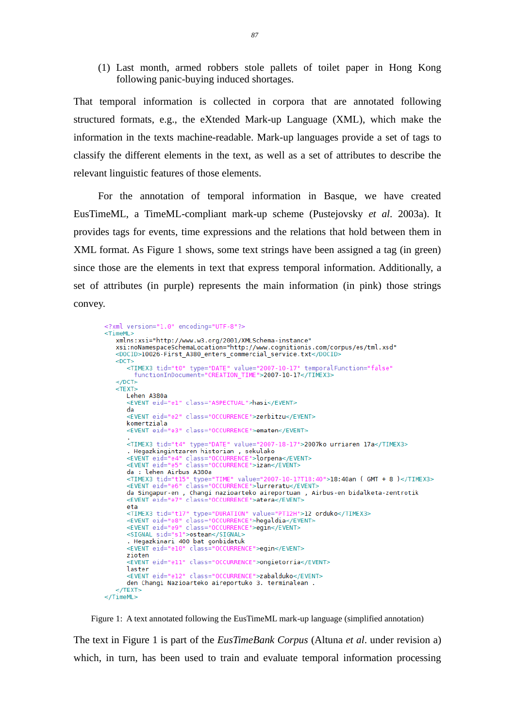(1) Last month, armed robbers stole pallets of toilet paper in Hong Kong following panic-buying induced shortages.

That temporal information is collected in corpora that are annotated following structured formats, e.g., the eXtended Mark-up Language (XML), which make the information in the texts machine-readable. Mark-up languages provide a set of tags to classify the different elements in the text, as well as a set of attributes to describe the relevant linguistic features of those elements.

For the annotation of temporal information in Basque, we have created EusTimeML, a TimeML-compliant mark-up scheme (Pustejovsky *et al*. 2003a). It provides tags for events, time expressions and the relations that hold between them in XML format. As Figure 1 shows, some text strings have been assigned a tag (in green) since those are the elements in text that express temporal information. Additionally, a set of attributes (in purple) represents the main information (in pink) those strings convey.

```
<?xml version="1.0" encoding="UTF-8"?>
<sub>T</sub>imeMl></sub>
   <DOCID>10026-First_A380_enters_commercial_service.txt</DOCID>
   <DCT><TIMEX3 tid="t0" type="DATE" value="2007-10-17" temporalFunction="false"
         functionInDocument="CREATION_TIME">2007-10-17</TIMEX3>
   \leq/DCT\geq<TFXT>
      Lehen A380a
       <EVENT eid="e1" class="ASPECTUAL">hasi</EVENT>
       da
       <EVENT eid="e2" class="OCCURRENCE">zerbitzu</EVENT>
       komertziala
       <EVENT eid="e3" class="OCCURRENCE">ematen</EVENT>
       <TIMEX3 tid="t4" type="DATE" value="2007-18-17">2007ko urriaren 17a</TIMEX3>
       - Hegazkingintzaren historian , sekulako<br><EVENT eid="e4" class="OCCURRENCE">lorpena</EVENT><br><EVENT eid="e5" class="OCCURRENCE">izan</EVENT>
       da : lehen Airbus A380a
       da : Lehen Airbus A380a<br><TIMEX3 tid="t15" type="TIME" value="2007-10-17T18:40">18:40an ( GMT + 8 )</TIMEX3><br><EVENT eid="e6" class="OCCURRENCE">lurreratu</EVENT>
       da Singapur-en , Changi nazioarteko aireportuan , Airbus-en bidalketa-zentrotik<br><EVENT eid="e7" class="OCCURRENCE">atera</EVENT>
       eta
       <TIMEX3 tid="t17" type="DURATION" value="PT12H">12 orduko</TIMEX3>
       <timess tid="ti/" type="bunAtion" value="PTIZH">12<br><tVENT eid="e8" class="OCCURRENCE">hegaldia</tVENT><tVENT eid="e9" class="OCCURRENCE">egin</tVENT>
       <SIGNAL sid="s1">ostean</SIGNAL>
       . Hegazkinari 400 bat gonbidatuk
       <EVENT eid="e10" class="OCCURRENCE">egin</EVENT>
       zioten
        <EVENT eid="ell" class="OCCURRENCE">ongietorria</EVENT>
       laster
       <EVENT eid="e12" class="OCCURRENCE">zabalduko</EVENT>
       den Changi Nazioarteko aireportuko 3. terminalean .
   </TEXT>
\le/TimeML>
```
Figure 1: A text annotated following the EusTimeML mark-up language (simplified annotation)

The text in Figure 1 is part of the *EusTimeBank Corpus* (Altuna *et al*. under revision a) which, in turn, has been used to train and evaluate temporal information processing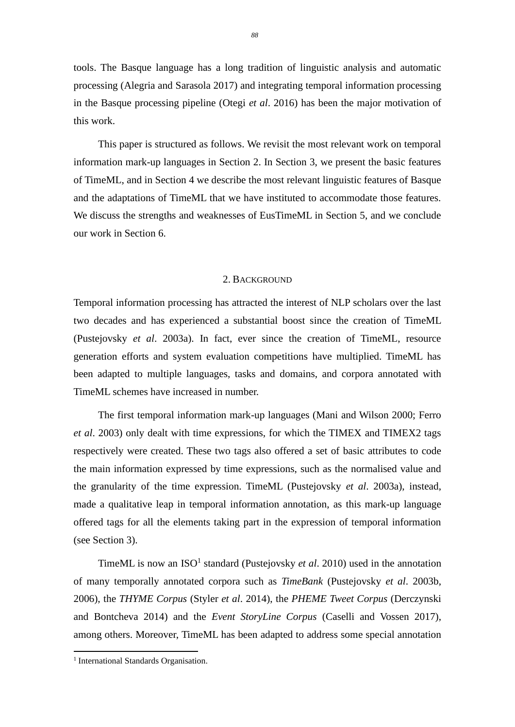tools. The Basque language has a long tradition of linguistic analysis and automatic processing (Alegria and Sarasola 2017) and integrating temporal information processing in the Basque processing pipeline (Otegi *et al*. 2016) has been the major motivation of this work.

This paper is structured as follows. We revisit the most relevant work on temporal information mark-up languages in Section 2. In Section 3, we present the basic features of TimeML, and in Section 4 we describe the most relevant linguistic features of Basque and the adaptations of TimeML that we have instituted to accommodate those features. We discuss the strengths and weaknesses of EusTimeML in Section 5, and we conclude our work in Section 6.

# 2. BACKGROUND

Temporal information processing has attracted the interest of NLP scholars over the last two decades and has experienced a substantial boost since the creation of TimeML (Pustejovsky *et al*. 2003a). In fact, ever since the creation of TimeML, resource generation efforts and system evaluation competitions have multiplied. TimeML has been adapted to multiple languages, tasks and domains, and corpora annotated with TimeML schemes have increased in number.

The first temporal information mark-up languages (Mani and Wilson 2000; Ferro *et al*. 2003) only dealt with time expressions, for which the TIMEX and TIMEX2 tags respectively were created. These two tags also offered a set of basic attributes to code the main information expressed by time expressions, such as the normalised value and the granularity of the time expression. TimeML (Pustejovsky *et al*. 2003a), instead, made a qualitative leap in temporal information annotation, as this mark-up language offered tags for all the elements taking part in the expression of temporal information (see Section 3).

TimeML is now an  $ISO<sup>1</sup>$  standard (Pustejovsky *et al.* 2010) used in the annotation of many temporally annotated corpora such as *TimeBank* (Pustejovsky *et al*. 2003b, 2006), the *THYME Corpus* (Styler *et al*. 2014), the *PHEME Tweet Corpus* (Derczynski and Bontcheva 2014) and the *Event StoryLine Corpus* (Caselli and Vossen 2017), among others. Moreover, TimeML has been adapted to address some special annotation

<sup>&</sup>lt;sup>1</sup> International Standards Organisation.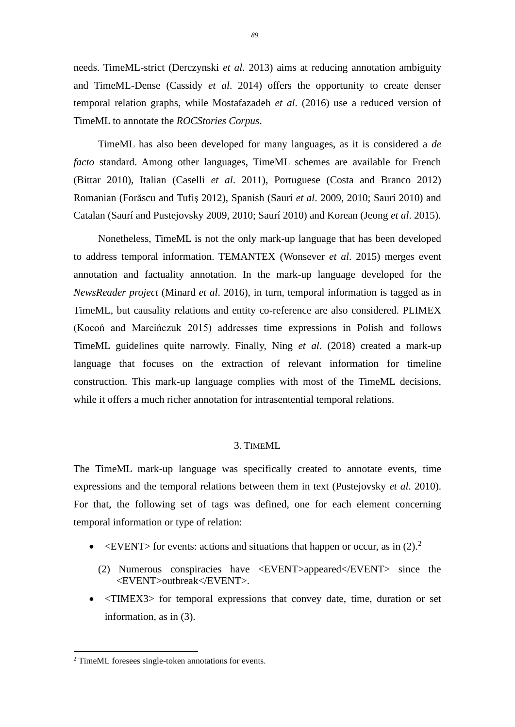needs. TimeML-strict (Derczynski *et al*. 2013) aims at reducing annotation ambiguity and TimeML-Dense (Cassidy *et al*. 2014) offers the opportunity to create denser temporal relation graphs, while Mostafazadeh *et al*. (2016) use a reduced version of TimeML to annotate the *ROCStories Corpus*.

TimeML has also been developed for many languages, as it is considered a *de facto* standard. Among other languages, TimeML schemes are available for French (Bittar 2010), Italian (Caselli *et al*. 2011), Portuguese (Costa and Branco 2012) Romanian (Forăscu and Tufiş 2012), Spanish (Saurí *et al*. 2009, 2010; Saurí 2010) and Catalan (Saurí and Pustejovsky 2009, 2010; Saurí 2010) and Korean (Jeong *et al*. 2015).

Nonetheless, TimeML is not the only mark-up language that has been developed to address temporal information. TEMANTEX (Wonsever *et al*. 2015) merges event annotation and factuality annotation. In the mark-up language developed for the *NewsReader project* (Minard *et al*. 2016), in turn, temporal information is tagged as in TimeML, but causality relations and entity co-reference are also considered. PLIMEX (Kocoń and Marcińczuk 2015) addresses time expressions in Polish and follows TimeML guidelines quite narrowly. Finally, Ning *et al*. (2018) created a mark-up language that focuses on the extraction of relevant information for timeline construction. This mark-up language complies with most of the TimeML decisions, while it offers a much richer annotation for intrasentential temporal relations.

# 3. TIMEML

The TimeML mark-up language was specifically created to annotate events, time expressions and the temporal relations between them in text (Pustejovsky *et al*. 2010). For that, the following set of tags was defined, one for each element concerning temporal information or type of relation:

- $\leq$  EVENT> for events: actions and situations that happen or occur, as in (2).<sup>2</sup>
	- (2) Numerous conspiracies have <EVENT>appeared</EVENT> since the <EVENT>outbreak</EVENT>.
- <TIMEX3> for temporal expressions that convey date, time, duration or set information, as in (3).

<sup>2</sup> TimeML foresees single-token annotations for events.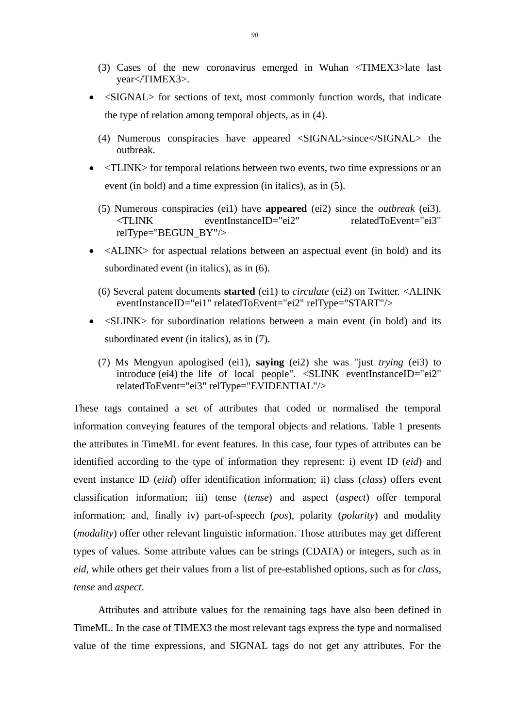- (3) Cases of the new coronavirus emerged in Wuhan <TIMEX3>late last year</TIMEX3>.
- <SIGNAL> for sections of text, most commonly function words, that indicate the type of relation among temporal objects, as in (4).
	- (4) Numerous conspiracies have appeared <SIGNAL>since</SIGNAL> the outbreak.
- <TLINK> for temporal relations between two events, two time expressions or an event (in bold) and a time expression (in italics), as in (5).
	- (5) Numerous conspiracies (ei1) have **appeared** (ei2) since the *outbreak* (ei3). <TLINK eventInstanceID="ei2" relatedToEvent="ei3" relType="BEGUN\_BY"/>
- <ALINK> for aspectual relations between an aspectual event (in bold) and its subordinated event (in italics), as in (6).
	- (6) Several patent documents **started** (ei1) to *circulate* (ei2) on Twitter. <ALINK eventInstanceID="ei1" relatedToEvent="ei2" relType="START"/>
- <SLINK> for subordination relations between a main event (in bold) and its subordinated event (in italics), as in (7).
	- (7) Ms Mengyun apologised (ei1), **saying** (ei2) she was "just *trying* (ei3) to introduce (ei4) the life of local people". <SLINK eventInstanceID="ei2" relatedToEvent="ei3" relType="EVIDENTIAL"/>

These tags contained a set of attributes that coded or normalised the temporal information conveying features of the temporal objects and relations. Table 1 presents the attributes in TimeML for event features. In this case, four types of attributes can be identified according to the type of information they represent: i) event ID (*eid*) and event instance ID (*eiid*) offer identification information; ii) class (*class*) offers event classification information; iii) tense (*tense*) and aspect (*aspect*) offer temporal information; and, finally iv) part-of-speech (*pos*), polarity (*polarity*) and modality (*modality*) offer other relevant linguistic information. Those attributes may get different types of values. Some attribute values can be strings (CDATA) or integers, such as in *eid*, while others get their values from a list of pre-established options, such as for *class*, *tense* and *aspect*.

Attributes and attribute values for the remaining tags have also been defined in TimeML. In the case of TIMEX3 the most relevant tags express the type and normalised value of the time expressions, and SIGNAL tags do not get any attributes. For the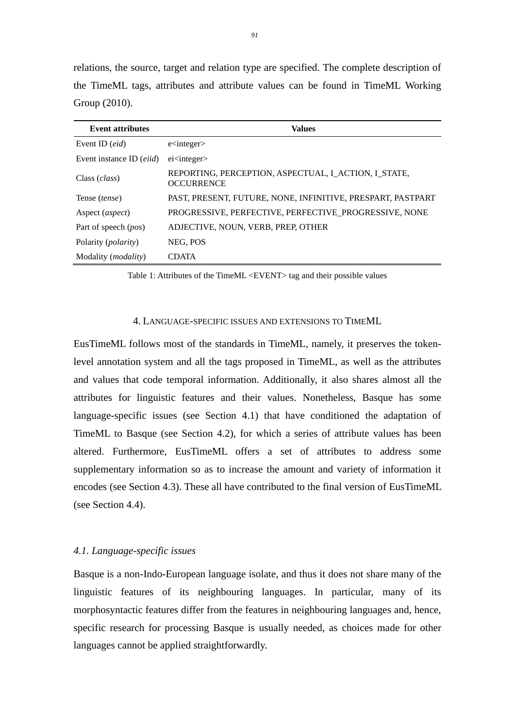relations, the source, target and relation type are specified. The complete description of the TimeML tags, attributes and attribute values can be found in TimeML Working Group (2010).

| <b>Event attributes</b>           | <b>Values</b>                                                             |
|-----------------------------------|---------------------------------------------------------------------------|
| Event ID $(eid)$                  | $e$ integer                                                               |
| Event instance ID ( <i>eiid</i> ) | $e$ <i>i</i> $\langle$ <i>integer</i> $>$                                 |
| Class ( <i>class</i> )            | REPORTING, PERCEPTION, ASPECTUAL, I_ACTION, I_STATE,<br><b>OCCURRENCE</b> |
| Tense <i>(tense)</i>              | PAST, PRESENT, FUTURE, NONE, INFINITIVE, PRESPART, PASTPART               |
| Aspect ( <i>aspect</i> )          | PROGRESSIVE, PERFECTIVE, PERFECTIVE PROGRESSIVE, NONE                     |
| Part of speech ( <i>pos</i> )     | ADJECTIVE, NOUN, VERB, PREP, OTHER                                        |
| Polarity ( <i>polarity</i> )      | NEG, POS                                                                  |
| Modality ( <i>modality</i> )      | <b>CDATA</b>                                                              |

Table 1: Attributes of the TimeML <EVENT> tag and their possible values

# 4. LANGUAGE-SPECIFIC ISSUES AND EXTENSIONS TO TIMEML

EusTimeML follows most of the standards in TimeML, namely, it preserves the tokenlevel annotation system and all the tags proposed in TimeML, as well as the attributes and values that code temporal information. Additionally, it also shares almost all the attributes for linguistic features and their values. Nonetheless, Basque has some language-specific issues (see Section 4.1) that have conditioned the adaptation of TimeML to Basque (see Section 4.2), for which a series of attribute values has been altered. Furthermore, EusTimeML offers a set of attributes to address some supplementary information so as to increase the amount and variety of information it encodes (see Section 4.3). These all have contributed to the final version of EusTimeML (see Section 4.4).

# *4.1. Language-specific issues*

Basque is a non-Indo-European language isolate, and thus it does not share many of the linguistic features of its neighbouring languages. In particular, many of its morphosyntactic features differ from the features in neighbouring languages and, hence, specific research for processing Basque is usually needed, as choices made for other languages cannot be applied straightforwardly.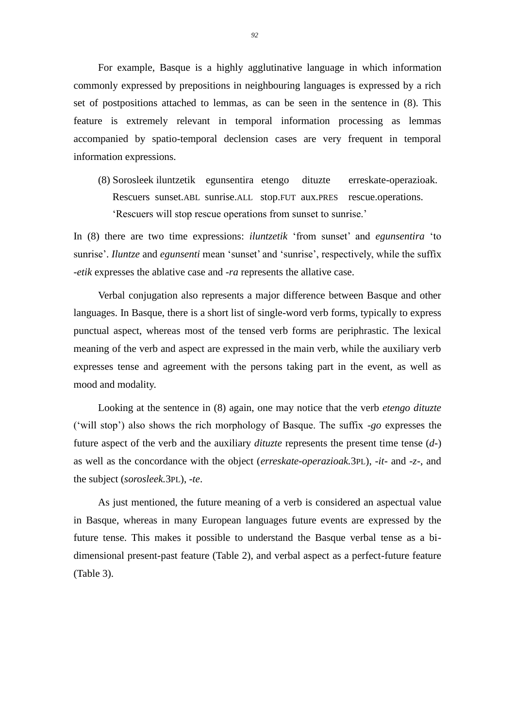For example, Basque is a highly agglutinative language in which information commonly expressed by prepositions in neighbouring languages is expressed by a rich set of postpositions attached to lemmas, as can be seen in the sentence in (8). This feature is extremely relevant in temporal information processing as lemmas accompanied by spatio-temporal declension cases are very frequent in temporal information expressions.

(8) Sorosleek iluntzetik egunsentira etengo dituzte erreskate-operazioak. Rescuers sunset.ABL sunrise.ALL stop.FUT aux.PRES rescue.operations. 'Rescuers will stop rescue operations from sunset to sunrise.'

In (8) there are two time expressions: *iluntzetik* 'from sunset' and *egunsentira* 'to sunrise'. *Iluntze* and *egunsenti* mean 'sunset' and 'sunrise', respectively, while the suffix *-etik* expresses the ablative case and *-ra* represents the allative case.

Verbal conjugation also represents a major difference between Basque and other languages. In Basque, there is a short list of single-word verb forms, typically to express punctual aspect, whereas most of the tensed verb forms are periphrastic. The lexical meaning of the verb and aspect are expressed in the main verb, while the auxiliary verb expresses tense and agreement with the persons taking part in the event, as well as mood and modality.

Looking at the sentence in (8) again, one may notice that the verb *etengo dituzte* ('will stop') also shows the rich morphology of Basque. The suffix *-go* expresses the future aspect of the verb and the auxiliary *dituzte* represents the present time tense (*d-*) as well as the concordance with the object (*erreskate-operazioak.*3PL), *-it-* and *-z-*, and the subject (*sorosleek.*3PL), *-te*.

As just mentioned, the future meaning of a verb is considered an aspectual value in Basque, whereas in many European languages future events are expressed by the future tense. This makes it possible to understand the Basque verbal tense as a bidimensional present-past feature (Table 2), and verbal aspect as a perfect-future feature (Table 3).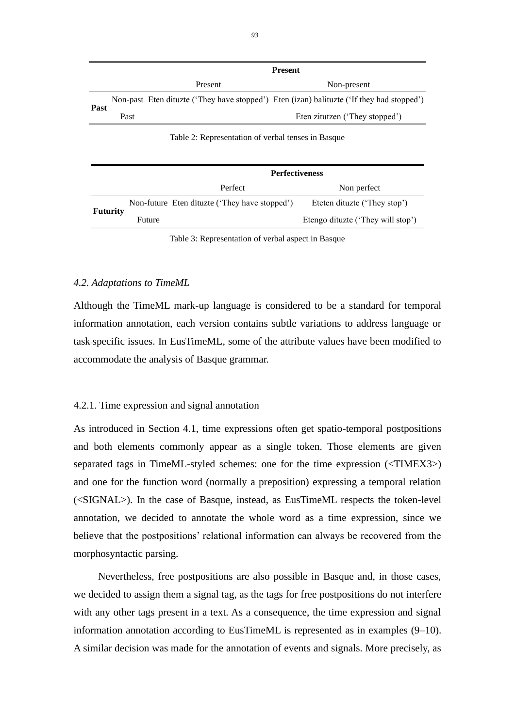|                 |                       | <b>Present</b>                                                                            |                                   |  |
|-----------------|-----------------------|-------------------------------------------------------------------------------------------|-----------------------------------|--|
|                 |                       | Present                                                                                   | Non-present                       |  |
|                 |                       | Non-past Eten dituzte ('They have stopped') Eten (izan) balituzte ('If they had stopped') |                                   |  |
| Past            | Past                  | Eten zitutzen ('They stopped')                                                            |                                   |  |
|                 |                       | Table 2: Representation of verbal tenses in Basque                                        |                                   |  |
|                 | <b>Perfectiveness</b> |                                                                                           |                                   |  |
|                 |                       | Perfect                                                                                   | Non perfect                       |  |
|                 |                       | Non-future Eten dituzte ('They have stopped')                                             | Eteten dituzte ('They stop')      |  |
| <b>Futurity</b> |                       | Future                                                                                    | Etengo dituzte ('They will stop') |  |

Table 3: Representation of verbal aspect in Basque

#### *4.2. Adaptations to TimeML*

Although the TimeML mark-up language is considered to be a standard for temporal information annotation, each version contains subtle variations to address language or task-specific issues. In EusTimeML, some of the attribute values have been modified to accommodate the analysis of Basque grammar.

#### 4.2.1. Time expression and signal annotation

As introduced in Section 4.1, time expressions often get spatio-temporal postpositions and both elements commonly appear as a single token. Those elements are given separated tags in TimeML-styled schemes: one for the time expression (<TIMEX3>) and one for the function word (normally a preposition) expressing a temporal relation (<SIGNAL>). In the case of Basque, instead, as EusTimeML respects the token-level annotation, we decided to annotate the whole word as a time expression, since we believe that the postpositions' relational information can always be recovered from the morphosyntactic parsing.

Nevertheless, free postpositions are also possible in Basque and, in those cases, we decided to assign them a signal tag, as the tags for free postpositions do not interfere with any other tags present in a text. As a consequence, the time expression and signal information annotation according to EusTimeML is represented as in examples (9–10). A similar decision was made for the annotation of events and signals. More precisely, as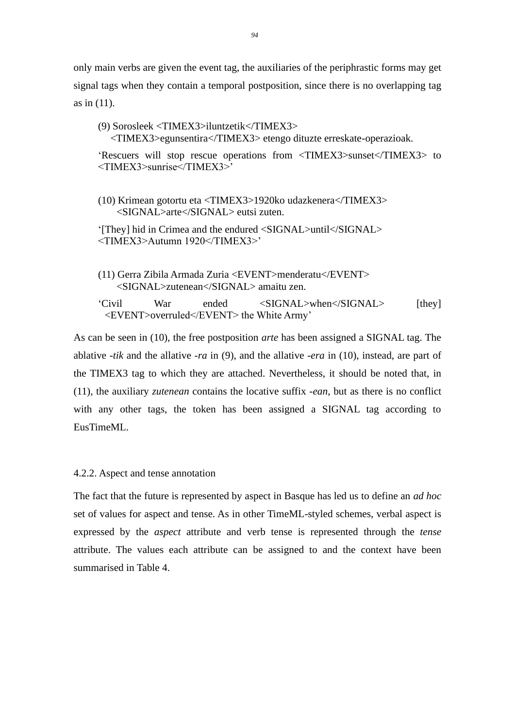only main verbs are given the event tag, the auxiliaries of the periphrastic forms may get signal tags when they contain a temporal postposition, since there is no overlapping tag as in (11).

(9) Sorosleek <TIMEX3>iluntzetik</TIMEX3> <TIMEX3>egunsentira</TIMEX3> etengo dituzte erreskate-operazioak. 'Rescuers will stop rescue operations from <TIMEX3>sunset</TIMEX3> to <TIMEX3>sunrise</TIMEX3>' (10) Krimean gotortu eta <TIMEX3>1920ko udazkenera</TIMEX3> <SIGNAL>arte</SIGNAL> eutsi zuten.

'[They] hid in Crimea and the endured <SIGNAL>until</SIGNAL> <TIMEX3>Autumn 1920</TIMEX3>'

(11) Gerra Zibila Armada Zuria <EVENT>menderatu</EVENT> <SIGNAL>zutenean</SIGNAL> amaitu zen.

'Civil War ended <SIGNAL>when</SIGNAL> [they] <EVENT>overruled</EVENT> the White Army'

As can be seen in (10), the free postposition *arte* has been assigned a SIGNAL tag. The ablative *-tik* and the allative *-ra* in (9), and the allative *-era* in (10), instead, are part of the TIMEX3 tag to which they are attached. Nevertheless, it should be noted that, in (11), the auxiliary *zutenean* contains the locative suffix *-ean*, but as there is no conflict with any other tags, the token has been assigned a SIGNAL tag according to EusTimeML.

4.2.2. Aspect and tense annotation

The fact that the future is represented by aspect in Basque has led us to define an *ad hoc* set of values for aspect and tense. As in other TimeML-styled schemes, verbal aspect is expressed by the *aspect* attribute and verb tense is represented through the *tense* attribute. The values each attribute can be assigned to and the context have been summarised in Table 4.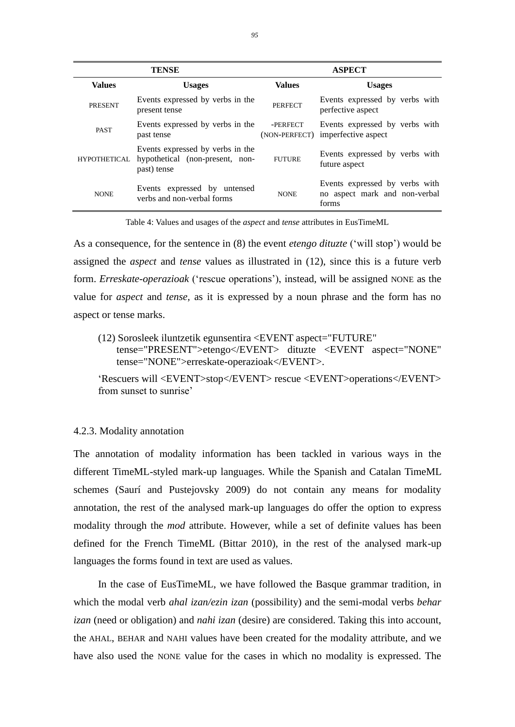| TENSE               |                                                                                    | <b>ASPECT</b>             |                                                                          |  |
|---------------------|------------------------------------------------------------------------------------|---------------------------|--------------------------------------------------------------------------|--|
| <b>Values</b>       | <b>Usages</b>                                                                      | <b>Values</b>             | <b>Usages</b>                                                            |  |
| <b>PRESENT</b>      | Events expressed by verbs in the<br>present tense                                  | <b>PERFECT</b>            | Events expressed by verbs with<br>perfective aspect                      |  |
| <b>PAST</b>         | Events expressed by verbs in the<br>past tense                                     | -PERFECT<br>(NON-PERFECT) | Events expressed by verbs with<br>imperfective aspect                    |  |
| <b>HYPOTHETICAL</b> | Events expressed by verbs in the<br>hypothetical (non-present, non-<br>past) tense | <b>FUTURE</b>             | Events expressed by verbs with<br>future aspect                          |  |
| <b>NONE</b>         | Events expressed by untensed<br>verbs and non-verbal forms                         | <b>NONE</b>               | Events expressed by verbs with<br>no aspect mark and non-verbal<br>forms |  |

Table 4: Values and usages of the *aspect* and *tense* attributes in EusTimeML

As a consequence, for the sentence in (8) the event *etengo dituzte* ('will stop') would be assigned the *aspect* and *tense* values as illustrated in (12), since this is a future verb form. *Erreskate-operazioak* ('rescue operations'), instead, will be assigned NONE as the value for *aspect* and *tense,* as it is expressed by a noun phrase and the form has no aspect or tense marks.

(12) Sorosleek iluntzetik egunsentira <EVENT aspect="FUTURE" tense="PRESENT">etengo</EVENT> dituzte <EVENT aspect="NONE" tense="NONE">erreskate-operazioak</EVENT>.

'Rescuers will <EVENT>stop</EVENT> rescue <EVENT>operations</EVENT> from sunset to sunrise'

# 4.2.3. Modality annotation

The annotation of modality information has been tackled in various ways in the different TimeML-styled mark-up languages. While the Spanish and Catalan TimeML schemes (Saurí and Pustejovsky 2009) do not contain any means for modality annotation, the rest of the analysed mark-up languages do offer the option to express modality through the *mod* attribute. However, while a set of definite values has been defined for the French TimeML (Bittar 2010), in the rest of the analysed mark-up languages the forms found in text are used as values.

In the case of EusTimeML, we have followed the Basque grammar tradition, in which the modal verb *ahal izan/ezin izan* (possibility) and the semi-modal verbs *behar izan* (need or obligation) and *nahi izan* (desire) are considered. Taking this into account, the AHAL, BEHAR and NAHI values have been created for the modality attribute, and we have also used the NONE value for the cases in which no modality is expressed. The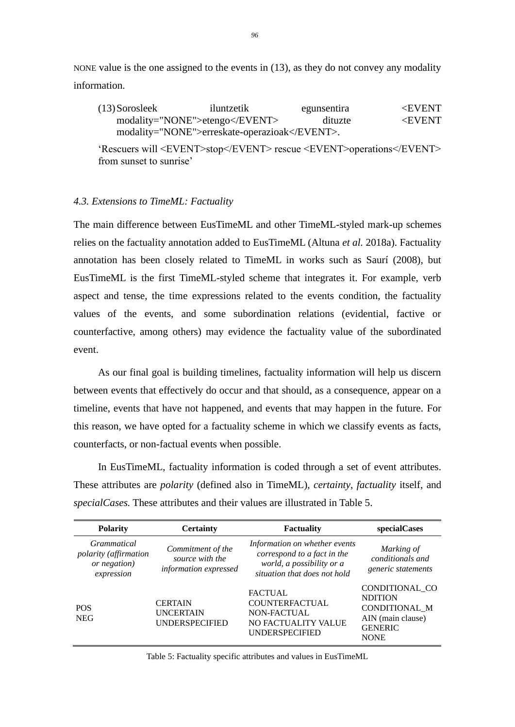NONE value is the one assigned to the events in (13), as they do not convey any modality information.

| $(13)$ Sorosleek | iluntzetik                            | egunsentira | $\epsilon$ EVENT |
|------------------|---------------------------------------|-------------|------------------|
|                  | modality="NONE">etengo                | dituzte     | $\epsilon$ EVENT |
|                  | modality="NONE">erreskate-operazioak. |             |                  |

'Rescuers will <EVENT>stop</EVENT> rescue <EVENT>operations</EVENT> from sunset to sunrise'

#### *4.3. Extensions to TimeML: Factuality*

The main difference between EusTimeML and other TimeML-styled mark-up schemes relies on the factuality annotation added to EusTimeML (Altuna *et al.* 2018a). Factuality annotation has been closely related to TimeML in works such as Saurí (2008), but EusTimeML is the first TimeML-styled scheme that integrates it. For example, verb aspect and tense, the time expressions related to the events condition, the factuality values of the events, and some subordination relations (evidential, factive or counterfactive, among others) may evidence the factuality value of the subordinated event.

As our final goal is building timelines, factuality information will help us discern between events that effectively do occur and that should, as a consequence, appear on a timeline, events that have not happened, and events that may happen in the future. For this reason, we have opted for a factuality scheme in which we classify events as facts, counterfacts, or non-factual events when possible.

In EusTimeML, factuality information is coded through a set of event attributes. These attributes are *polarity* (defined also in TimeML), *certainty*, *factuality* itself, and *specialCases.* These attributes and their values are illustrated in Table 5.

| <b>Polarity</b>                                                    | <b>Certainty</b>                                              | <b>Factuality</b>                                                                                                         | specialCases                                                                                            |
|--------------------------------------------------------------------|---------------------------------------------------------------|---------------------------------------------------------------------------------------------------------------------------|---------------------------------------------------------------------------------------------------------|
| Grammatical<br>polarity (affirmation<br>or negation)<br>expression | Commitment of the<br>source with the<br>information expressed | Information on whether events<br>correspond to a fact in the<br>world, a possibility or a<br>situation that does not hold | Marking of<br>conditionals and<br>generic statements                                                    |
| <b>POS</b><br><b>NEG</b>                                           | <b>CERTAIN</b><br><b>UNCERTAIN</b><br><b>UNDERSPECIFIED</b>   | <b>FACTUAL</b><br><b>COUNTERFACTUAL</b><br>NON-FACTUAL<br>NO FACTUALITY VALUE<br><b>UNDERSPECIFIED</b>                    | CONDITIONAL CO<br><b>NDITION</b><br>CONDITIONAL M<br>AIN (main clause)<br><b>GENERIC</b><br><b>NONE</b> |

Table 5: Factuality specific attributes and values in EusTimeML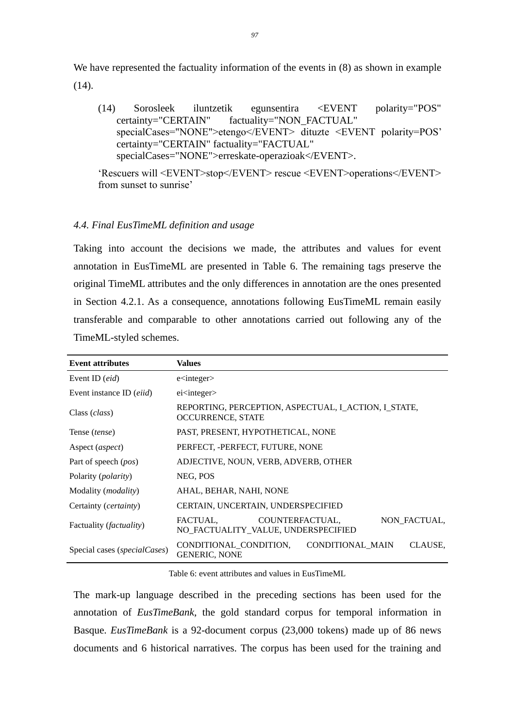We have represented the factuality information of the events in  $(8)$  as shown in example  $(14)$ .

(14) Sorosleek iluntzetik egunsentira <EVENT polarity="POS" certainty="CERTAIN" factuality="NON\_FACTUAL" specialCases="NONE">etengo</EVENT> dituzte <EVENT polarity=POS' certainty="CERTAIN" factuality="FACTUAL" specialCases="NONE">erreskate-operazioak</EVENT>.

'Rescuers will <EVENT>stop</EVENT> rescue <EVENT>operations</EVENT> from sunset to sunrise'

# *4.4. Final EusTimeML definition and usage*

Taking into account the decisions we made, the attributes and values for event annotation in EusTimeML are presented in Table 6. The remaining tags preserve the original TimeML attributes and the only differences in annotation are the ones presented in Section 4.2.1. As a consequence, annotations following EusTimeML remain easily transferable and comparable to other annotations carried out following any of the TimeML-styled schemes.

| <b>Event attributes</b>               | <b>Values</b>                                                                      |  |
|---------------------------------------|------------------------------------------------------------------------------------|--|
| Event ID (eid)                        | $e$ integer                                                                        |  |
| Event instance ID (eiid)              | ei <integer></integer>                                                             |  |
| Class ( <i>class</i> )                | REPORTING, PERCEPTION, ASPECTUAL, I_ACTION, I_STATE,<br><b>OCCURRENCE, STATE</b>   |  |
| Tense <i>(tense)</i>                  | PAST, PRESENT, HYPOTHETICAL, NONE                                                  |  |
| Aspect ( <i>aspect</i> )              | PERFECT, -PERFECT, FUTURE, NONE                                                    |  |
| Part of speech ( <i>pos</i> )         | ADJECTIVE, NOUN, VERB, ADVERB, OTHER                                               |  |
| Polarity ( <i>polarity</i> )          | NEG, POS                                                                           |  |
| Modality ( <i>modality</i> )          | AHAL, BEHAR, NAHI, NONE                                                            |  |
| Certainty ( <i>certainty</i> )        | CERTAIN, UNCERTAIN, UNDERSPECIFIED                                                 |  |
| Factuality ( <i>factuality</i> )      | NON FACTUAL,<br>COUNTERFACTUAL,<br>FACTUAL.<br>NO FACTUALITY VALUE, UNDERSPECIFIED |  |
| Special cases ( <i>specialCases</i> ) | CONDITIONAL_MAIN<br>CONDITIONAL_CONDITION,<br>CLAUSE,<br><b>GENERIC, NONE</b>      |  |

Table 6: event attributes and values in EusTimeML

The mark-up language described in the preceding sections has been used for the annotation of *EusTimeBank*, the gold standard corpus for temporal information in Basque. *EusTimeBank* is a 92-document corpus (23,000 tokens) made up of 86 news documents and 6 historical narratives. The corpus has been used for the training and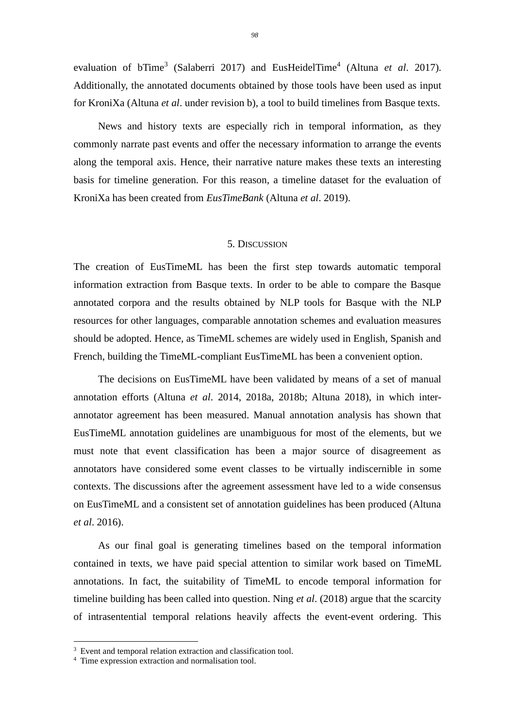evaluation of bTime<sup>3</sup> (Salaberri 2017) and EusHeidelTime<sup>4</sup> (Altuna *et al.* 2017). Additionally, the annotated documents obtained by those tools have been used as input for KroniXa (Altuna *et al*. under revision b), a tool to build timelines from Basque texts.

News and history texts are especially rich in temporal information, as they commonly narrate past events and offer the necessary information to arrange the events along the temporal axis. Hence, their narrative nature makes these texts an interesting basis for timeline generation. For this reason, a timeline dataset for the evaluation of KroniXa has been created from *EusTimeBank* (Altuna *et al*. 2019).

# 5. DISCUSSION

The creation of EusTimeML has been the first step towards automatic temporal information extraction from Basque texts. In order to be able to compare the Basque annotated corpora and the results obtained by NLP tools for Basque with the NLP resources for other languages, comparable annotation schemes and evaluation measures should be adopted. Hence, as TimeML schemes are widely used in English, Spanish and French, building the TimeML-compliant EusTimeML has been a convenient option.

The decisions on EusTimeML have been validated by means of a set of manual annotation efforts (Altuna *et al*. 2014, 2018a, 2018b; Altuna 2018), in which interannotator agreement has been measured. Manual annotation analysis has shown that EusTimeML annotation guidelines are unambiguous for most of the elements, but we must note that event classification has been a major source of disagreement as annotators have considered some event classes to be virtually indiscernible in some contexts. The discussions after the agreement assessment have led to a wide consensus on EusTimeML and a consistent set of annotation guidelines has been produced (Altuna *et al*. 2016).

As our final goal is generating timelines based on the temporal information contained in texts, we have paid special attention to similar work based on TimeML annotations. In fact, the suitability of TimeML to encode temporal information for timeline building has been called into question. Ning *et al*. (2018) argue that the scarcity of intrasentential temporal relations heavily affects the event-event ordering. This

<sup>&</sup>lt;sup>3</sup> Event and temporal relation extraction and classification tool.

<sup>4</sup> Time expression extraction and normalisation tool.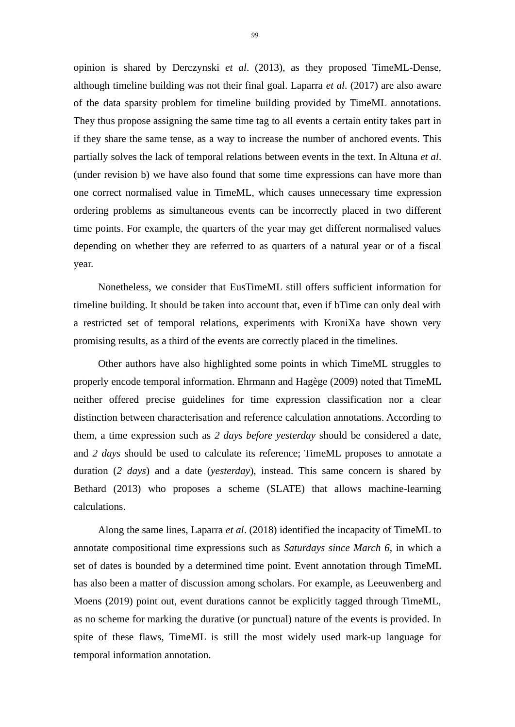opinion is shared by Derczynski *et al*. (2013), as they proposed TimeML-Dense, although timeline building was not their final goal. Laparra *et al*. (2017) are also aware of the data sparsity problem for timeline building provided by TimeML annotations. They thus propose assigning the same time tag to all events a certain entity takes part in if they share the same tense, as a way to increase the number of anchored events. This partially solves the lack of temporal relations between events in the text. In Altuna *et al*. (under revision b) we have also found that some time expressions can have more than one correct normalised value in TimeML, which causes unnecessary time expression ordering problems as simultaneous events can be incorrectly placed in two different time points. For example, the quarters of the year may get different normalised values depending on whether they are referred to as quarters of a natural year or of a fiscal year.

Nonetheless, we consider that EusTimeML still offers sufficient information for timeline building. It should be taken into account that, even if bTime can only deal with a restricted set of temporal relations, experiments with KroniXa have shown very promising results, as a third of the events are correctly placed in the timelines.

Other authors have also highlighted some points in which TimeML struggles to properly encode temporal information. Ehrmann and Hagège (2009) noted that TimeML neither offered precise guidelines for time expression classification nor a clear distinction between characterisation and reference calculation annotations. According to them, a time expression such as *2 days before yesterday* should be considered a date, and *2 days* should be used to calculate its reference; TimeML proposes to annotate a duration (*2 days*) and a date (*yesterday*), instead. This same concern is shared by Bethard (2013) who proposes a scheme (SLATE) that allows machine-learning calculations.

Along the same lines, Laparra *et al*. (2018) identified the incapacity of TimeML to annotate compositional time expressions such as *Saturdays since March 6*, in which a set of dates is bounded by a determined time point. Event annotation through TimeML has also been a matter of discussion among scholars. For example, as Leeuwenberg and Moens (2019) point out, event durations cannot be explicitly tagged through TimeML, as no scheme for marking the durative (or punctual) nature of the events is provided. In spite of these flaws, TimeML is still the most widely used mark-up language for temporal information annotation.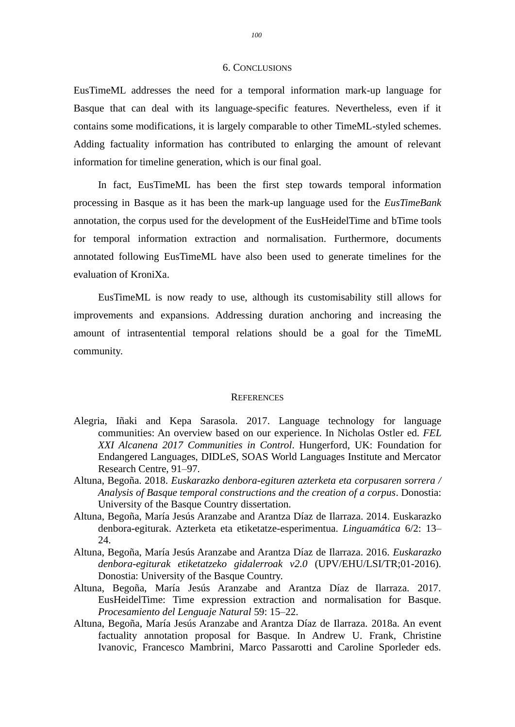#### 6. CONCLUSIONS

EusTimeML addresses the need for a temporal information mark-up language for Basque that can deal with its language-specific features. Nevertheless, even if it contains some modifications, it is largely comparable to other TimeML-styled schemes. Adding factuality information has contributed to enlarging the amount of relevant information for timeline generation, which is our final goal.

In fact, EusTimeML has been the first step towards temporal information processing in Basque as it has been the mark-up language used for the *EusTimeBank* annotation, the corpus used for the development of the EusHeidelTime and bTime tools for temporal information extraction and normalisation. Furthermore, documents annotated following EusTimeML have also been used to generate timelines for the evaluation of KroniXa.

EusTimeML is now ready to use, although its customisability still allows for improvements and expansions. Addressing duration anchoring and increasing the amount of intrasentential temporal relations should be a goal for the TimeML community.

#### **REFERENCES**

- Alegria, Iñaki and Kepa Sarasola. 2017. Language technology for language communities: An overview based on our experience. In Nicholas Ostler ed. *FEL XXI Alcanena 2017 Communities in Control*. Hungerford, UK: Foundation for Endangered Languages, DIDLeS, SOAS World Languages Institute and Mercator Research Centre, 91–97.
- Altuna, Begoña. 2018. *Euskarazko denbora-egituren azterketa eta corpusaren sorrera / Analysis of Basque temporal constructions and the creation of a corpus*. Donostia: University of the Basque Country dissertation.
- Altuna, Begoña, María Jesús Aranzabe and Arantza Díaz de Ilarraza. 2014. Euskarazko denbora-egiturak. Azterketa eta etiketatze-esperimentua. *Linguamática* 6/2: 13– 24.
- Altuna, Begoña, María Jesús Aranzabe and Arantza Díaz de Ilarraza. 2016. *Euskarazko denbora-egiturak etiketatzeko gidalerroak v2.0* (UPV/EHU/LSI/TR;01-2016). Donostia: University of the Basque Country.
- Altuna, Begoña, María Jesús Aranzabe and Arantza Díaz de Ilarraza. 2017. EusHeidelTime: Time expression extraction and normalisation for Basque. *Procesamiento del Lenguaje Natural* 59: 15–22.
- Altuna, Begoña, María Jesús Aranzabe and Arantza Díaz de Ilarraza. 2018a. An event factuality annotation proposal for Basque. In Andrew U. Frank, Christine Ivanovic, Francesco Mambrini, Marco Passarotti and Caroline Sporleder eds.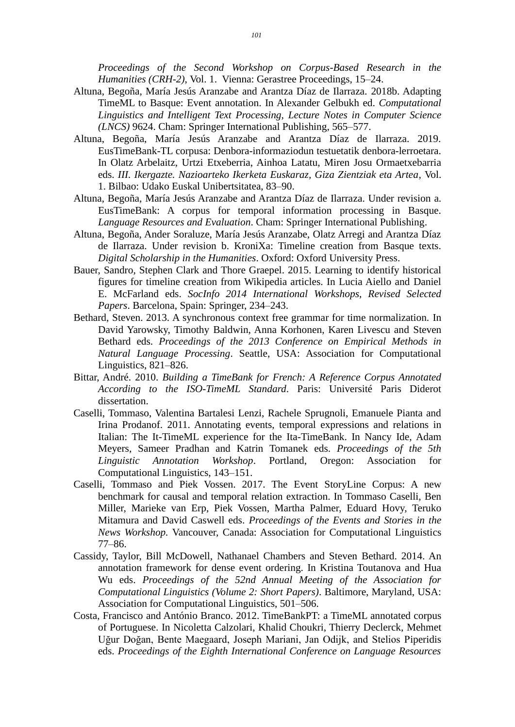*Proceedings of the Second Workshop on Corpus-Based Research in the Humanities (CRH-2)*, Vol. 1. Vienna: Gerastree Proceedings, 15–24.

- Altuna, Begoña, María Jesús Aranzabe and Arantza Díaz de Ilarraza. 2018b. Adapting TimeML to Basque: Event annotation. In Alexander Gelbukh ed. *Computational Linguistics and Intelligent Text Processing, Lecture Notes in Computer Science (LNCS)* 9624. Cham: Springer International Publishing, 565–577.
- Altuna, Begoña, María Jesús Aranzabe and Arantza Díaz de Ilarraza. 2019. EusTimeBank-TL corpusa: Denbora-informaziodun testuetatik denbora-lerroetara. In Olatz Arbelaitz, Urtzi Etxeberria, Ainhoa Latatu, Miren Josu Ormaetxebarria eds. *III. Ikergazte. Nazioarteko Ikerketa Euskaraz, Giza Zientziak eta Artea*, Vol. 1. Bilbao: Udako Euskal Unibertsitatea, 83–90.
- Altuna, Begoña, María Jesús Aranzabe and Arantza Díaz de Ilarraza. Under revision a. EusTimeBank: A corpus for temporal information processing in Basque. *Language Resources and Evaluation*. Cham: Springer International Publishing.
- Altuna, Begoña, Ander Soraluze, María Jesús Aranzabe, Olatz Arregi and Arantza Díaz de Ilarraza. Under revision b. KroniXa: Timeline creation from Basque texts. *Digital Scholarship in the Humanities*. Oxford: Oxford University Press.
- Bauer, Sandro, Stephen Clark and Thore Graepel. 2015. Learning to identify historical figures for timeline creation from Wikipedia articles. In Lucia Aiello and Daniel E. McFarland eds. *SocInfo 2014 International Workshops, Revised Selected Papers*. Barcelona, Spain: Springer, 234–243.
- Bethard, Steven. 2013. A synchronous context free grammar for time normalization. In David Yarowsky, Timothy Baldwin, Anna Korhonen, Karen Livescu and Steven Bethard eds. *Proceedings of the 2013 Conference on Empirical Methods in Natural Language Processing*. Seattle, USA: Association for Computational Linguistics, 821–826.
- Bittar, André. 2010. *Building a TimeBank for French: A Reference Corpus Annotated According to the ISO-TimeML Standard*. Paris: Université Paris Diderot dissertation.
- Caselli, Tommaso, Valentina Bartalesi Lenzi, Rachele Sprugnoli, Emanuele Pianta and Irina Prodanof. 2011. Annotating events, temporal expressions and relations in Italian: The It-TimeML experience for the Ita-TimeBank. In Nancy Ide, Adam Meyers, Sameer Pradhan and Katrin Tomanek eds. *Proceedings of the 5th Linguistic Annotation Workshop*. Portland, Oregon: Association for Computational Linguistics, 143–151.
- Caselli, Tommaso and Piek Vossen. 2017. The Event StoryLine Corpus: A new benchmark for causal and temporal relation extraction. In Tommaso Caselli, Ben Miller, Marieke van Erp, Piek Vossen, Martha Palmer, Eduard Hovy, Teruko Mitamura and David Caswell eds. *Proceedings of the Events and Stories in the News Workshop.* Vancouver, Canada: Association for Computational Linguistics 77–86.
- Cassidy, Taylor, Bill McDowell, Nathanael Chambers and Steven Bethard. 2014. An annotation framework for dense event ordering. In Kristina Toutanova and Hua Wu eds. *Proceedings of the 52nd Annual Meeting of the Association for Computational Linguistics (Volume 2: Short Papers)*. Baltimore, Maryland, USA: Association for Computational Linguistics, 501–506.
- Costa, Francisco and António Branco. 2012. TimeBankPT: a TimeML annotated corpus of Portuguese. In Nicoletta Calzolari, Khalid Choukri, Thierry Declerck, Mehmet Uğur Doğan, Bente Maegaard, Joseph Mariani, Jan Odijk, and Stelios Piperidis eds. *Proceedings of the Eighth International Conference on Language Resources*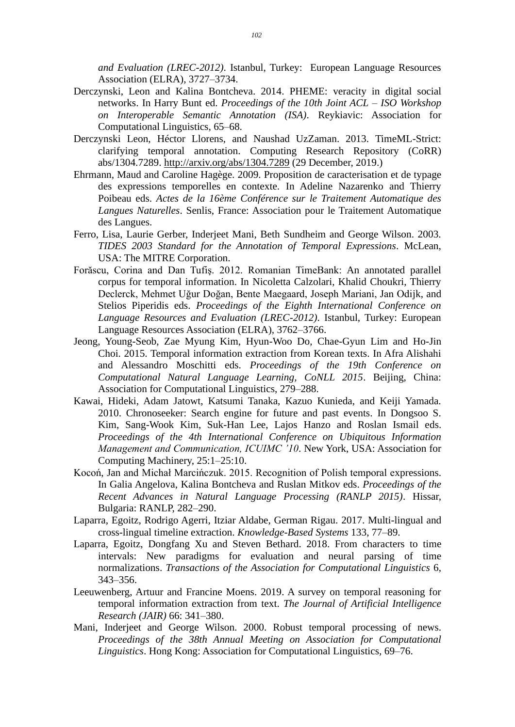*and Evaluation (LREC-2012)*. Istanbul, Turkey: European Language Resources Association (ELRA), 3727–3734.

- Derczynski, Leon and Kalina Bontcheva. 2014. PHEME: veracity in digital social networks. In Harry Bunt ed. *Proceedings of the 10th Joint ACL – ISO Workshop on Interoperable Semantic Annotation (ISA)*. Reykiavic: Association for Computational Linguistics, 65–68.
- Derczynski Leon, Héctor Llorens, and Naushad UzZaman. 2013. TimeML-Strict: clarifying temporal annotation. Computing Research Repository (CoRR) abs/1304.7289.<http://arxiv.org/abs/1304.7289> (29 December, 2019.)
- Ehrmann, Maud and Caroline Hagège. 2009. Proposition de caracterisation et de typage des expressions temporelles en contexte. In Adeline Nazarenko and Thierry Poibeau eds. *Actes de la 16ème Conférence sur le Traitement Automatique des Langues Naturelles*. Senlis, France: Association pour le Traitement Automatique des Langues.
- Ferro, Lisa, Laurie Gerber, Inderjeet Mani, Beth Sundheim and George Wilson. 2003. *TIDES 2003 Standard for the Annotation of Temporal Expressions*. McLean, USA: The MITRE Corporation.
- Forăscu, Corina and Dan Tufiş. 2012. Romanian TimeBank: An annotated parallel corpus for temporal information. In Nicoletta Calzolari, Khalid Choukri, Thierry Declerck, Mehmet Uğur Doğan, Bente Maegaard, Joseph Mariani, Jan Odijk, and Stelios Piperidis eds. *Proceedings of the Eighth International Conference on Language Resources and Evaluation (LREC-2012)*. Istanbul, Turkey: European Language Resources Association (ELRA), 3762–3766.
- Jeong, Young-Seob, Zae Myung Kim, Hyun-Woo Do, Chae-Gyun Lim and Ho-Jin Choi. 2015. Temporal information extraction from Korean texts. In Afra Alishahi and Alessandro Moschitti eds. *Proceedings of the 19th Conference on Computational Natural Language Learning, CoNLL 2015*. Beijing, China: Association for Computational Linguistics, 279–288.
- Kawai, Hideki, Adam Jatowt, Katsumi Tanaka, Kazuo Kunieda, and Keiji Yamada. 2010. Chronoseeker: Search engine for future and past events. In Dongsoo S. Kim, Sang-Wook Kim, Suk-Han Lee, Lajos Hanzo and Roslan Ismail eds. *Proceedings of the 4th International Conference on Ubiquitous Information Management and Communication, ICUIMC '10*. New York, USA: Association for Computing Machinery, 25:1–25:10.
- Kocoń, Jan and Michał Marcińczuk. 2015. Recognition of Polish temporal expressions. In Galia Angelova, Kalina Bontcheva and Ruslan Mitkov eds. *Proceedings of the Recent Advances in Natural Language Processing (RANLP 2015)*. Hissar, Bulgaria: RANLP, 282–290.
- Laparra, Egoitz, Rodrigo Agerri, Itziar Aldabe, German Rigau. 2017. Multi-lingual and cross-lingual timeline extraction. *Knowledge-Based Systems* 133, 77–89.
- Laparra, Egoitz, Dongfang Xu and Steven Bethard. 2018. From characters to time intervals: New paradigms for evaluation and neural parsing of time normalizations. *Transactions of the Association for Computational Linguistics* 6, 343–356.
- Leeuwenberg, Artuur and Francine Moens. 2019. A survey on temporal reasoning for temporal information extraction from text. *The Journal of Artificial Intelligence Research (JAIR)* 66: 341–380.
- Mani, Inderjeet and George Wilson. 2000. Robust temporal processing of news. *Proceedings of the 38th Annual Meeting on Association for Computational Linguistics*. Hong Kong: Association for Computational Linguistics, 69–76.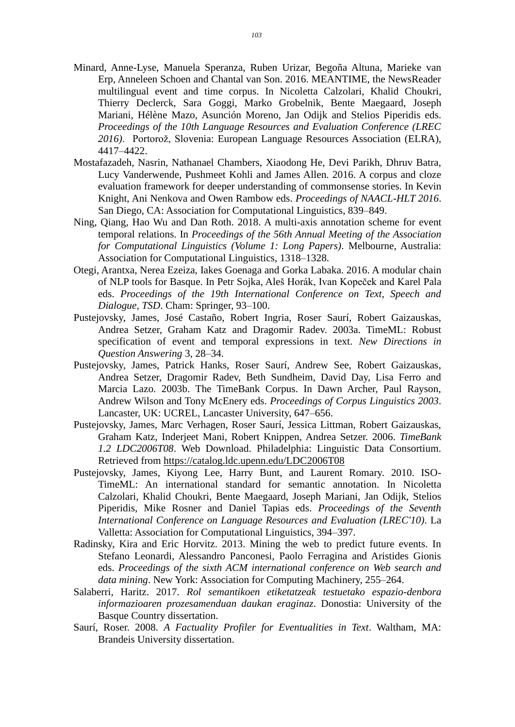- Minard, Anne-Lyse, Manuela Speranza, Ruben Urizar, Begoña Altuna, Marieke van Erp, Anneleen Schoen and Chantal van Son. 2016. MEANTIME, the NewsReader multilingual event and time corpus. In Nicoletta Calzolari, Khalid Choukri, Thierry Declerck, Sara Goggi, Marko Grobelnik, Bente Maegaard, Joseph Mariani, Hélène Mazo, Asunción Moreno, Jan Odijk and Stelios Piperidis eds. *Proceedings of the 10th Language Resources and Evaluation Conference (LREC 2016)*. Portorož, Slovenia: European Language Resources Association (ELRA), 4417–4422.
- Mostafazadeh, Nasrin, Nathanael Chambers, Xiaodong He, Devi Parikh, Dhruv Batra, Lucy Vanderwende, Pushmeet Kohli and James Allen. 2016. A corpus and cloze evaluation framework for deeper understanding of commonsense stories. In Kevin Knight, Ani Nenkova and Owen Rambow eds. *Proceedings of NAACL-HLT 2016*. San Diego, CA: Association for Computational Linguistics, 839–849.
- Ning, Qiang, Hao Wu and Dan Roth. 2018. A multi-axis annotation scheme for event temporal relations. In *Proceedings of the 56th Annual Meeting of the Association for Computational Linguistics (Volume 1: Long Papers)*. Melbourne, Australia: Association for Computational Linguistics, 1318–1328.
- Otegi, Arantxa, Nerea Ezeiza, Iakes Goenaga and Gorka Labaka. 2016. A modular chain of NLP tools for Basque. In Petr Sojka, Aleš Horák, Ivan Kopeček and Karel Pala eds. *Proceedings of the 19th International Conference on Text, Speech and Dialogue, TSD*. Cham: Springer, 93–100.
- Pustejovsky, James, José Castaño, Robert Ingria, Roser Saurí, Robert Gaizauskas, Andrea Setzer, Graham Katz and Dragomir Radev. 2003a. TimeML: Robust specification of event and temporal expressions in text. *New Directions in Question Answering* 3, 28–34.
- Pustejovsky, James, Patrick Hanks, Roser Saurí, Andrew See, Robert Gaizauskas, Andrea Setzer, Dragomir Radev, Beth Sundheim, David Day, Lisa Ferro and Marcia Lazo. 2003b. The TimeBank Corpus. In Dawn Archer, Paul Rayson, Andrew Wilson and Tony McEnery eds. *Proceedings of Corpus Linguistics 2003*. Lancaster, UK: UCREL, Lancaster University, 647–656.
- Pustejovsky, James, Marc Verhagen, Roser Saurí, Jessica Littman, Robert Gaizauskas, Graham Katz, Inderjeet Mani, Robert Knippen, Andrea Setzer. 2006. *TimeBank 1.2 LDC2006T08*. Web Download. Philadelphia: Linguistic Data Consortium. Retrieved from <https://catalog.ldc.upenn.edu/LDC2006T08>
- Pustejovsky, James, Kiyong Lee, Harry Bunt, and Laurent Romary. 2010. ISO-TimeML: An international standard for semantic annotation. In Nicoletta Calzolari, Khalid Choukri, Bente Maegaard, Joseph Mariani, Jan Odijk, Stelios Piperidis, Mike Rosner and Daniel Tapias eds. *Proceedings of the Seventh International Conference on Language Resources and Evaluation (LREC'10)*. La Valletta: Association for Computational Linguistics, 394–397.
- Radinsky, Kira and Eric Horvitz. 2013. Mining the web to predict future events. In Stefano Leonardi, Alessandro Panconesi, Paolo Ferragina and Aristides Gionis eds. *Proceedings of the sixth ACM international conference on Web search and data mining*. New York: Association for Computing Machinery, 255–264.
- Salaberri, Haritz. 2017. *Rol semantikoen etiketatzeak testuetako espazio-denbora informazioaren prozesamenduan daukan eraginaz*. Donostia: University of the Basque Country dissertation.
- Saurí, Roser. 2008. *A Factuality Profiler for Eventualities in Text*. Waltham, MA: Brandeis University dissertation.